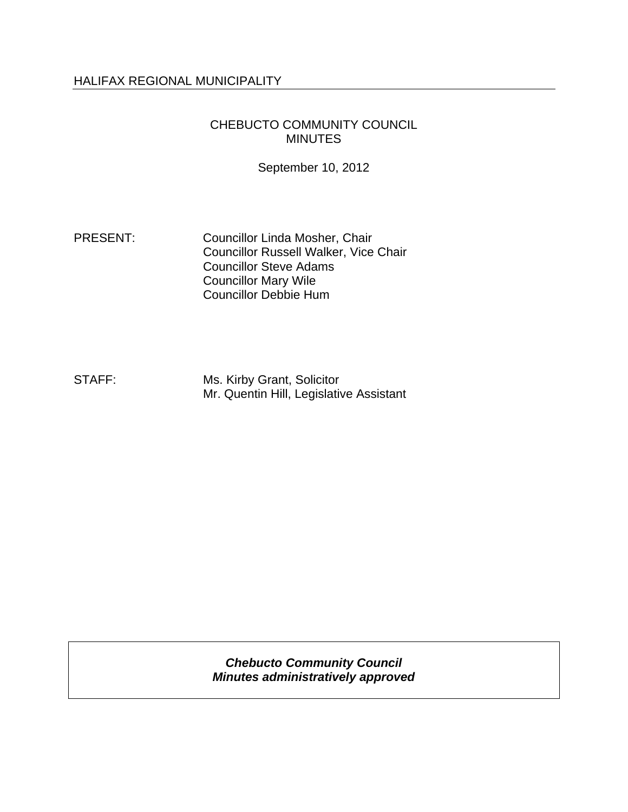#### HALIFAX REGIONAL MUNICIPALITY

#### CHEBUCTO COMMUNITY COUNCIL MINUTES

September 10, 2012

PRESENT: Councillor Linda Mosher, Chair Councillor Russell Walker, Vice Chair Councillor Steve Adams Councillor Mary Wile Councillor Debbie Hum

STAFF: Ms. Kirby Grant, Solicitor Mr. Quentin Hill, Legislative Assistant

> *Chebucto Community Council Minutes administratively approved*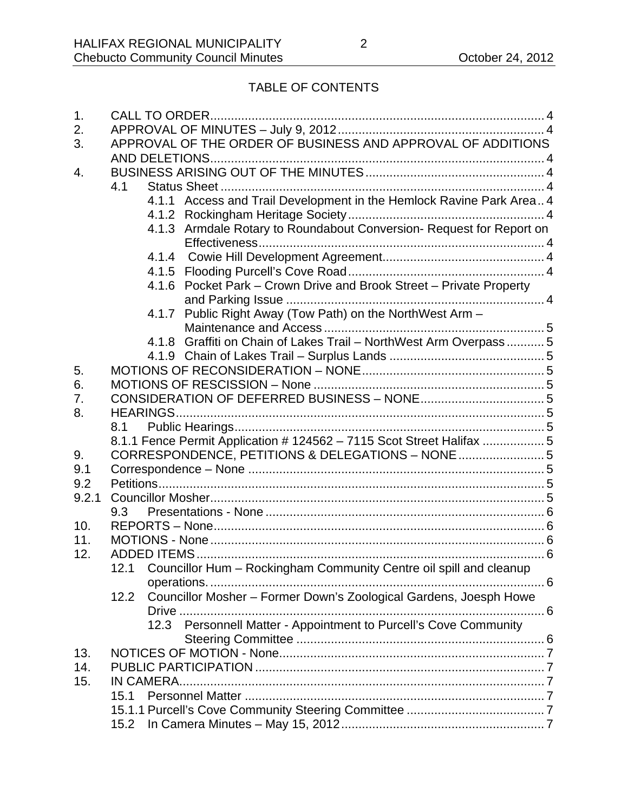# TABLE OF CONTENTS

| 1.    |                                                             |       |                                                                      |  |  |  |  |
|-------|-------------------------------------------------------------|-------|----------------------------------------------------------------------|--|--|--|--|
| 2.    |                                                             |       |                                                                      |  |  |  |  |
| 3.    | APPROVAL OF THE ORDER OF BUSINESS AND APPROVAL OF ADDITIONS |       |                                                                      |  |  |  |  |
|       |                                                             |       |                                                                      |  |  |  |  |
| 4.    |                                                             |       |                                                                      |  |  |  |  |
|       | 4.1                                                         |       |                                                                      |  |  |  |  |
|       |                                                             |       | 4.1.1 Access and Trail Development in the Hemlock Ravine Park Area 4 |  |  |  |  |
|       |                                                             |       |                                                                      |  |  |  |  |
|       |                                                             |       | 4.1.3 Armdale Rotary to Roundabout Conversion- Request for Report on |  |  |  |  |
|       |                                                             |       |                                                                      |  |  |  |  |
|       |                                                             | 4.1.4 |                                                                      |  |  |  |  |
|       |                                                             |       |                                                                      |  |  |  |  |
|       |                                                             |       | 4.1.6 Pocket Park - Crown Drive and Brook Street - Private Property  |  |  |  |  |
|       |                                                             |       |                                                                      |  |  |  |  |
|       |                                                             | 4.1.7 | Public Right Away (Tow Path) on the NorthWest Arm -                  |  |  |  |  |
|       |                                                             |       |                                                                      |  |  |  |  |
|       |                                                             | 4.1.8 | Graffiti on Chain of Lakes Trail - NorthWest Arm Overpass 5          |  |  |  |  |
|       |                                                             |       |                                                                      |  |  |  |  |
| 5.    |                                                             |       |                                                                      |  |  |  |  |
| 6.    |                                                             |       |                                                                      |  |  |  |  |
| 7.    |                                                             |       |                                                                      |  |  |  |  |
| 8.    |                                                             |       |                                                                      |  |  |  |  |
|       | 8.1                                                         |       |                                                                      |  |  |  |  |
|       |                                                             |       | 8.1.1 Fence Permit Application # 124562 - 7115 Scot Street Halifax 5 |  |  |  |  |
| 9.    |                                                             |       | CORRESPONDENCE, PETITIONS & DELEGATIONS - NONE  5                    |  |  |  |  |
| 9.1   |                                                             |       |                                                                      |  |  |  |  |
| 9.2   |                                                             |       |                                                                      |  |  |  |  |
| 9.2.1 |                                                             |       |                                                                      |  |  |  |  |
|       | 9.3                                                         |       |                                                                      |  |  |  |  |
| 10.   |                                                             |       |                                                                      |  |  |  |  |
| 11.   |                                                             |       |                                                                      |  |  |  |  |
| 12.   |                                                             |       |                                                                      |  |  |  |  |
|       |                                                             |       | Councillor Hum - Rockingham Community Centre oil spill and cleanup   |  |  |  |  |
|       |                                                             |       | $\ldots$ . 6                                                         |  |  |  |  |
|       | 12.2                                                        |       | Councillor Mosher - Former Down's Zoological Gardens, Joesph Howe    |  |  |  |  |
|       |                                                             |       |                                                                      |  |  |  |  |
|       |                                                             |       | 12.3 Personnell Matter - Appointment to Purcell's Cove Community     |  |  |  |  |
|       |                                                             |       |                                                                      |  |  |  |  |
| 13.   |                                                             |       |                                                                      |  |  |  |  |
| 14.   |                                                             |       |                                                                      |  |  |  |  |
| 15.   |                                                             |       |                                                                      |  |  |  |  |
|       | 15.1                                                        |       |                                                                      |  |  |  |  |
|       |                                                             |       |                                                                      |  |  |  |  |
|       | 15.2                                                        |       |                                                                      |  |  |  |  |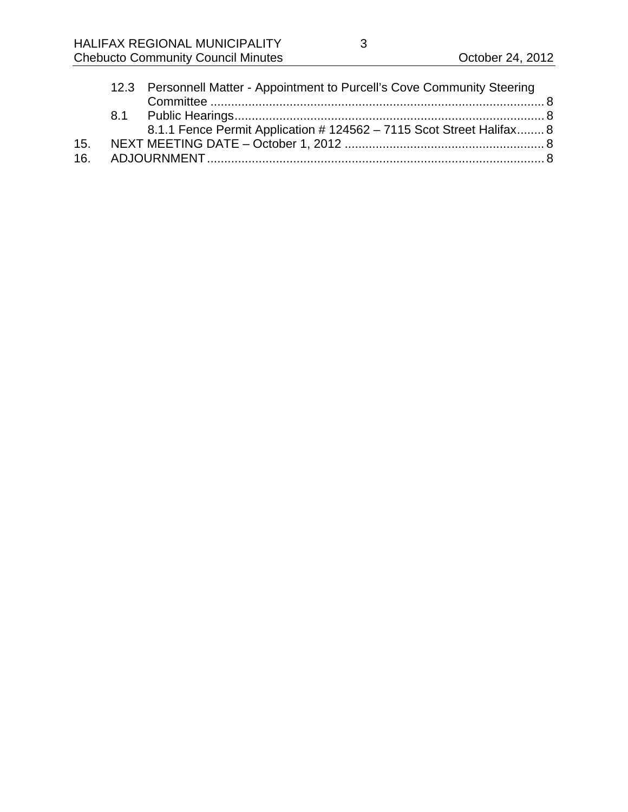|     | 12.3 Personnell Matter - Appointment to Purcell's Cove Community Steering |  |
|-----|---------------------------------------------------------------------------|--|
|     |                                                                           |  |
|     |                                                                           |  |
|     | 8.1.1 Fence Permit Application # 124562 - 7115 Scot Street Halifax 8      |  |
|     |                                                                           |  |
| 16. |                                                                           |  |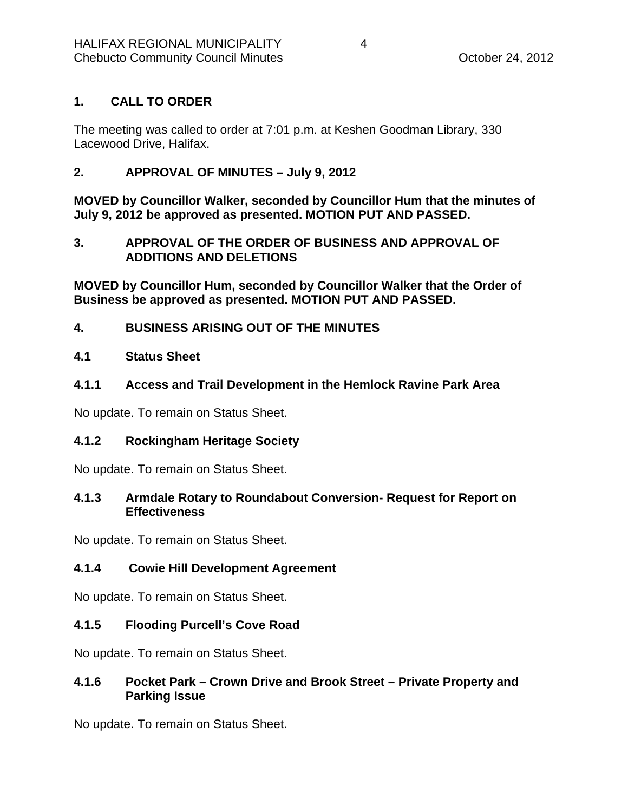## **1. CALL TO ORDER**

The meeting was called to order at 7:01 p.m. at Keshen Goodman Library, 330 Lacewood Drive, Halifax.

**2. APPROVAL OF MINUTES – July 9, 2012** 

**MOVED by Councillor Walker, seconded by Councillor Hum that the minutes of July 9, 2012 be approved as presented. MOTION PUT AND PASSED.** 

#### **3. APPROVAL OF THE ORDER OF BUSINESS AND APPROVAL OF ADDITIONS AND DELETIONS**

**MOVED by Councillor Hum, seconded by Councillor Walker that the Order of Business be approved as presented. MOTION PUT AND PASSED.** 

**4. BUSINESS ARISING OUT OF THE MINUTES** 

#### **4.1 Status Sheet**

**4.1.1 Access and Trail Development in the Hemlock Ravine Park Area** 

No update. To remain on Status Sheet.

#### **4.1.2 Rockingham Heritage Society**

No update. To remain on Status Sheet.

#### **4.1.3 Armdale Rotary to Roundabout Conversion- Request for Report on Effectiveness**

No update. To remain on Status Sheet.

# **4.1.4 Cowie Hill Development Agreement**

No update. To remain on Status Sheet.

#### **4.1.5 Flooding Purcell's Cove Road**

No update. To remain on Status Sheet.

#### **4.1.6 Pocket Park – Crown Drive and Brook Street – Private Property and Parking Issue**

No update. To remain on Status Sheet.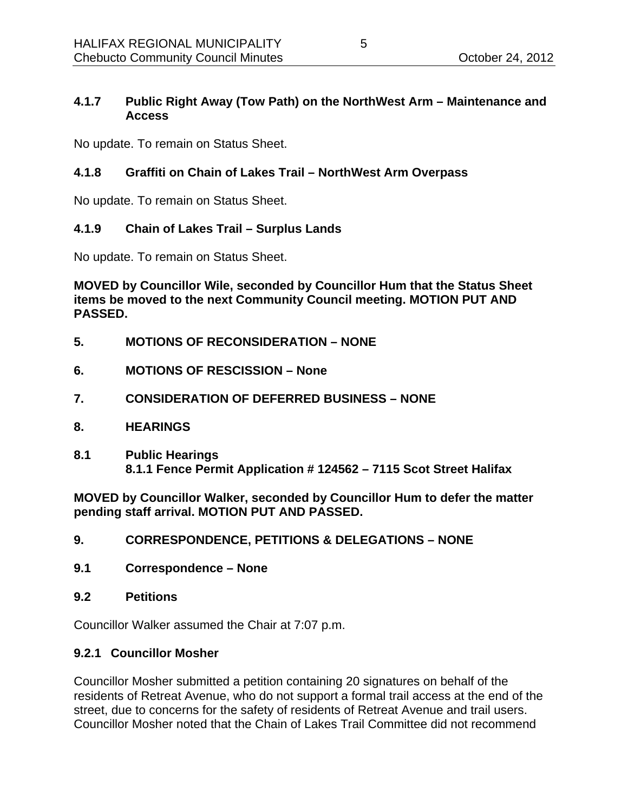#### **4.1.7 Public Right Away (Tow Path) on the NorthWest Arm – Maintenance and Access**

No update. To remain on Status Sheet.

## **4.1.8 Graffiti on Chain of Lakes Trail – NorthWest Arm Overpass**

No update. To remain on Status Sheet.

### **4.1.9 Chain of Lakes Trail – Surplus Lands**

No update. To remain on Status Sheet.

**MOVED by Councillor Wile, seconded by Councillor Hum that the Status Sheet items be moved to the next Community Council meeting. MOTION PUT AND PASSED.** 

- **5. MOTIONS OF RECONSIDERATION NONE**
- **6. MOTIONS OF RESCISSION None**
- **7. CONSIDERATION OF DEFERRED BUSINESS NONE**
- **8. HEARINGS**
- **8.1 Public Hearings 8.1.1 Fence Permit Application # 124562 – 7115 Scot Street Halifax**

**MOVED by Councillor Walker, seconded by Councillor Hum to defer the matter pending staff arrival. MOTION PUT AND PASSED.** 

- **9. CORRESPONDENCE, PETITIONS & DELEGATIONS NONE**
- **9.1 Correspondence None**
- **9.2 Petitions**

Councillor Walker assumed the Chair at 7:07 p.m.

#### **9.2.1 Councillor Mosher**

Councillor Mosher submitted a petition containing 20 signatures on behalf of the residents of Retreat Avenue, who do not support a formal trail access at the end of the street, due to concerns for the safety of residents of Retreat Avenue and trail users. Councillor Mosher noted that the Chain of Lakes Trail Committee did not recommend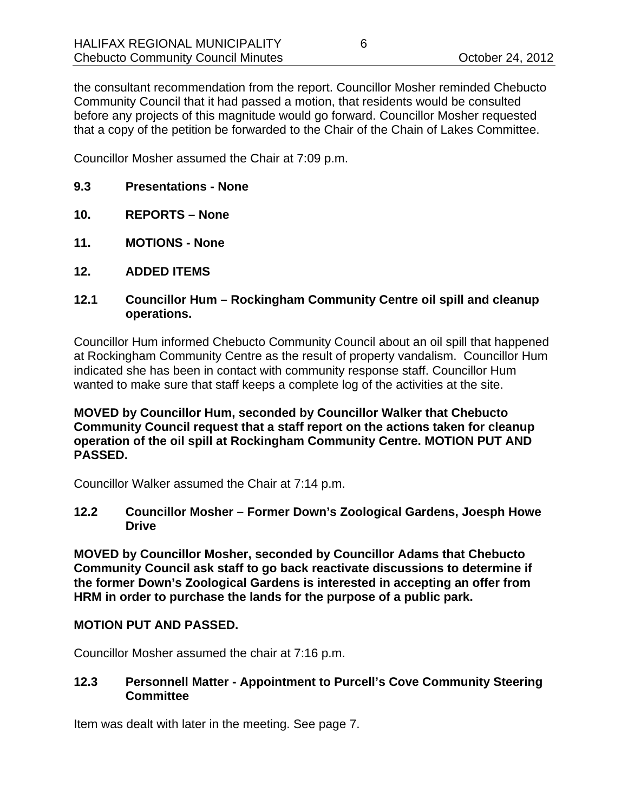the consultant recommendation from the report. Councillor Mosher reminded Chebucto Community Council that it had passed a motion, that residents would be consulted before any projects of this magnitude would go forward. Councillor Mosher requested that a copy of the petition be forwarded to the Chair of the Chain of Lakes Committee.

Councillor Mosher assumed the Chair at 7:09 p.m.

- **9.3 Presentations None**
- **10. REPORTS None**
- **11. MOTIONS None**
- **12. ADDED ITEMS**
- **12.1 Councillor Hum Rockingham Community Centre oil spill and cleanup operations.**

Councillor Hum informed Chebucto Community Council about an oil spill that happened at Rockingham Community Centre as the result of property vandalism. Councillor Hum indicated she has been in contact with community response staff. Councillor Hum wanted to make sure that staff keeps a complete log of the activities at the site.

#### **MOVED by Councillor Hum, seconded by Councillor Walker that Chebucto Community Council request that a staff report on the actions taken for cleanup operation of the oil spill at Rockingham Community Centre. MOTION PUT AND PASSED.**

Councillor Walker assumed the Chair at 7:14 p.m.

**12.2 Councillor Mosher – Former Down's Zoological Gardens, Joesph Howe Drive** 

**MOVED by Councillor Mosher, seconded by Councillor Adams that Chebucto Community Council ask staff to go back reactivate discussions to determine if the former Down's Zoological Gardens is interested in accepting an offer from HRM in order to purchase the lands for the purpose of a public park.** 

#### **MOTION PUT AND PASSED.**

Councillor Mosher assumed the chair at 7:16 p.m.

#### **12.3 Personnell Matter - Appointment to Purcell's Cove Community Steering Committee**

Item was dealt with later in the meeting. See page 7.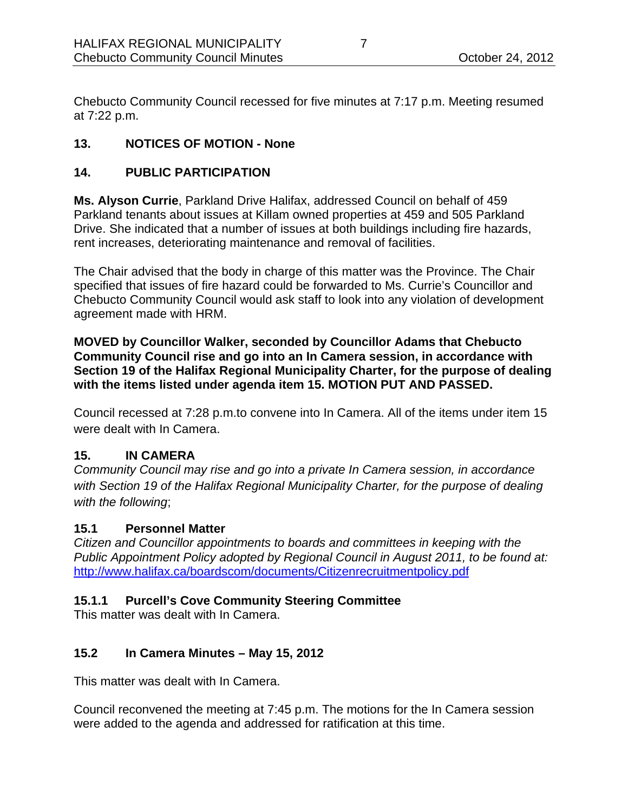Chebucto Community Council recessed for five minutes at 7:17 p.m. Meeting resumed at 7:22 p.m.

# **13. NOTICES OF MOTION - None**

# **14. PUBLIC PARTICIPATION**

**Ms. Alyson Currie**, Parkland Drive Halifax, addressed Council on behalf of 459 Parkland tenants about issues at Killam owned properties at 459 and 505 Parkland Drive. She indicated that a number of issues at both buildings including fire hazards, rent increases, deteriorating maintenance and removal of facilities.

The Chair advised that the body in charge of this matter was the Province. The Chair specified that issues of fire hazard could be forwarded to Ms. Currie's Councillor and Chebucto Community Council would ask staff to look into any violation of development agreement made with HRM.

**MOVED by Councillor Walker, seconded by Councillor Adams that Chebucto Community Council rise and go into an In Camera session, in accordance with Section 19 of the Halifax Regional Municipality Charter, for the purpose of dealing with the items listed under agenda item 15. MOTION PUT AND PASSED.** 

Council recessed at 7:28 p.m.to convene into In Camera. All of the items under item 15 were dealt with In Camera.

# **15. IN CAMERA**

*Community Council may rise and go into a private In Camera session, in accordance with Section 19 of the Halifax Regional Municipality Charter, for the purpose of dealing with the following*;

# **15.1 Personnel Matter**

*Citizen and Councillor appointments to boards and committees in keeping with the Public Appointment Policy adopted by Regional Council in August 2011, to be found at:*  http://www.halifax.ca/boardscom/documents/Citizenrecruitmentpolicy.pdf

# **15.1.1 Purcell's Cove Community Steering Committee**

This matter was dealt with In Camera.

# **15.2 In Camera Minutes – May 15, 2012**

This matter was dealt with In Camera.

Council reconvened the meeting at 7:45 p.m. The motions for the In Camera session were added to the agenda and addressed for ratification at this time.